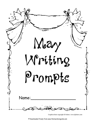

Graphics/fonts copyright DJ Inkers. www.djinkers.com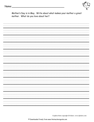

Mother's Day is in May. Write about what makes your mother a great mother. What do you love about her?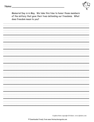

Memorial Day is in May. We take this time to honor those members of the military that gave their lives defending our freedoms. What does freedom mean to you?

\_\_\_\_\_\_\_\_\_\_\_\_\_\_\_\_\_\_\_\_\_\_\_\_\_\_\_\_\_\_\_\_ \_\_\_\_\_\_\_\_\_\_\_\_\_\_\_\_\_\_\_\_\_\_\_\_\_\_\_\_\_\_\_\_ \_\_\_\_\_\_\_\_\_\_\_\_\_\_\_\_\_\_\_\_\_\_\_\_\_\_\_\_\_\_\_\_ \_\_\_\_\_\_\_\_\_\_\_\_\_\_\_\_\_\_\_\_\_\_\_\_\_\_\_\_\_\_\_\_ \_\_\_\_\_\_\_\_\_\_\_\_\_\_\_\_\_\_\_\_\_\_\_\_\_\_\_\_\_\_\_\_ \_\_\_\_\_\_\_\_\_\_\_\_\_\_\_\_\_\_\_\_\_\_\_\_\_\_\_\_\_\_\_\_ \_\_\_\_\_\_\_\_\_\_\_\_\_\_\_\_\_\_\_\_\_\_\_\_\_\_\_\_\_\_\_\_ \_\_\_\_\_\_\_\_\_\_\_\_\_\_\_\_\_\_\_\_\_\_\_\_\_\_\_\_\_\_\_\_ \_\_\_\_\_\_\_\_\_\_\_\_\_\_\_\_\_\_\_\_\_\_\_\_\_\_\_\_\_\_\_\_ \_\_\_\_\_\_\_\_\_\_\_\_\_\_\_\_\_\_\_\_\_\_\_\_\_\_\_\_\_\_\_\_ \_\_\_\_\_\_\_\_\_\_\_\_\_\_\_\_\_\_\_\_\_\_\_\_\_\_\_\_\_\_\_\_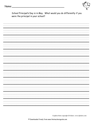

School Principal's Day is in May. What would you do differently if you were the principal in your school?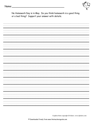

No Homework Day is in May. Do you think homework is a good thing or a bad thing? Support your answer with details.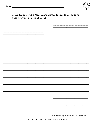

School Nurse Day is in May. Write a letter to your school nurse to thank him/her for all he/she does.

 \_\_\_\_\_\_\_\_\_\_\_\_\_ \_\_\_\_\_\_\_\_\_\_\_\_\_\_\_ \_\_\_\_\_\_\_\_\_\_\_\_\_\_\_\_\_\_\_\_\_\_\_\_\_\_\_\_\_\_\_\_ \_\_\_\_\_\_\_\_\_\_\_\_\_\_\_\_\_\_\_\_\_\_\_\_\_\_\_\_\_\_\_\_ \_\_\_\_\_\_\_\_\_\_\_\_\_\_\_\_\_\_\_\_\_\_\_\_\_\_\_\_\_\_\_\_ \_\_\_\_\_\_\_\_\_\_\_\_\_\_\_\_\_\_\_\_\_\_\_\_\_\_\_\_\_\_\_\_ \_\_\_\_\_\_\_\_\_\_\_\_\_\_\_\_\_\_\_\_\_\_\_\_\_\_\_\_\_\_\_\_ \_\_\_\_\_\_\_\_\_\_\_\_\_\_\_\_\_\_\_\_\_\_\_\_\_\_\_\_\_\_\_\_ \_\_\_\_\_\_\_\_\_\_\_\_\_ \_\_\_\_\_\_\_\_\_\_\_\_\_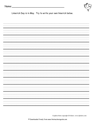

Limerick Day is in May. Try to write your own limerick below.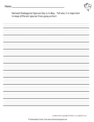

National Endangered Species Day is in May. Tell why it is important to keep different species from going extinct.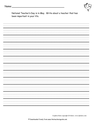

National Teacher's Day is in May. Write about a teacher that has been important in your life.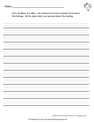

Cinco de Mayo is in May. Use resources to learn several facts about this holiday. Write about what you learned about the holiday.

\_\_\_\_\_\_\_\_\_\_\_\_\_\_\_\_\_\_\_\_\_\_\_\_\_\_\_\_\_\_\_\_ \_\_\_\_\_\_\_\_\_\_\_\_\_\_\_\_\_\_\_\_\_\_\_\_\_\_\_\_\_\_\_\_ \_\_\_\_\_\_\_\_\_\_\_\_\_\_\_\_\_\_\_\_\_\_\_\_\_\_\_\_\_\_\_\_ \_\_\_\_\_\_\_\_\_\_\_\_\_\_\_\_\_\_\_\_\_\_\_\_\_\_\_\_\_\_\_\_ \_\_\_\_\_\_\_\_\_\_\_\_\_\_\_\_\_\_\_\_\_\_\_\_\_\_\_\_\_\_\_\_ \_\_\_\_\_\_\_\_\_\_\_\_\_\_\_\_\_\_\_\_\_\_\_\_\_\_\_\_\_\_\_\_ \_\_\_\_\_\_\_\_\_\_\_\_\_\_\_\_\_\_\_\_\_\_\_\_\_\_\_\_\_\_\_\_ \_\_\_\_\_\_\_\_\_\_\_\_\_\_\_\_\_\_\_\_\_\_\_\_\_\_\_\_\_\_\_\_ \_\_\_\_\_\_\_\_\_\_\_\_\_\_\_\_\_\_\_\_\_\_\_\_\_\_\_\_\_\_\_\_ \_\_\_\_\_\_\_\_\_\_\_\_\_\_\_\_\_\_\_\_\_\_\_\_\_\_\_\_\_\_\_\_ \_\_\_\_\_\_\_\_\_\_\_\_\_\_\_\_\_\_\_\_\_\_\_\_\_\_\_\_\_\_\_\_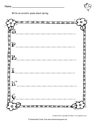Name:



<u> 1988 - Johann Barbara, martxa alemaniar a</u>